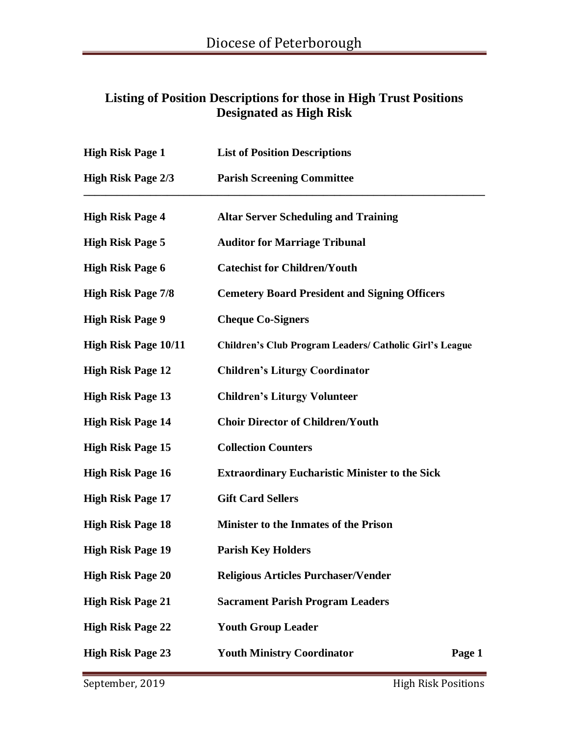### **Listing of Position Descriptions for those in High Trust Positions Designated as High Risk**

| <b>High Risk Page 1</b>     | <b>List of Position Descriptions</b>                           |
|-----------------------------|----------------------------------------------------------------|
| <b>High Risk Page 2/3</b>   | <b>Parish Screening Committee</b>                              |
| <b>High Risk Page 4</b>     | <b>Altar Server Scheduling and Training</b>                    |
| <b>High Risk Page 5</b>     | <b>Auditor for Marriage Tribunal</b>                           |
| <b>High Risk Page 6</b>     | <b>Catechist for Children/Youth</b>                            |
| <b>High Risk Page 7/8</b>   | <b>Cemetery Board President and Signing Officers</b>           |
| <b>High Risk Page 9</b>     | <b>Cheque Co-Signers</b>                                       |
| <b>High Risk Page 10/11</b> | <b>Children's Club Program Leaders/ Catholic Girl's League</b> |
| <b>High Risk Page 12</b>    | <b>Children's Liturgy Coordinator</b>                          |
| <b>High Risk Page 13</b>    | <b>Children's Liturgy Volunteer</b>                            |
| <b>High Risk Page 14</b>    | <b>Choir Director of Children/Youth</b>                        |
| <b>High Risk Page 15</b>    | <b>Collection Counters</b>                                     |
| <b>High Risk Page 16</b>    | <b>Extraordinary Eucharistic Minister to the Sick</b>          |
| <b>High Risk Page 17</b>    | <b>Gift Card Sellers</b>                                       |
| <b>High Risk Page 18</b>    | Minister to the Inmates of the Prison                          |
| <b>High Risk Page 19</b>    | <b>Parish Key Holders</b>                                      |
| <b>High Risk Page 20</b>    | <b>Religious Articles Purchaser/Vender</b>                     |
| <b>High Risk Page 21</b>    | <b>Sacrament Parish Program Leaders</b>                        |
| <b>High Risk Page 22</b>    | <b>Youth Group Leader</b>                                      |
| <b>High Risk Page 23</b>    | <b>Youth Ministry Coordinator</b><br>Page 1                    |
|                             |                                                                |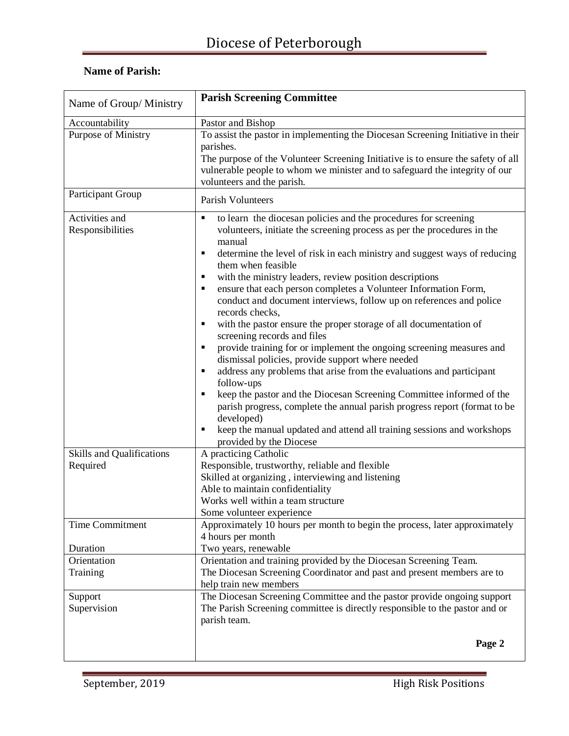| Name of Group/ Ministry            | <b>Parish Screening Committee</b>                                                                                                                                                                                                                                                                                                                                                                                                                                                                                                                                                                                                                                                                                                                                                                                                                                                                                                                                                                                                                                                                      |
|------------------------------------|--------------------------------------------------------------------------------------------------------------------------------------------------------------------------------------------------------------------------------------------------------------------------------------------------------------------------------------------------------------------------------------------------------------------------------------------------------------------------------------------------------------------------------------------------------------------------------------------------------------------------------------------------------------------------------------------------------------------------------------------------------------------------------------------------------------------------------------------------------------------------------------------------------------------------------------------------------------------------------------------------------------------------------------------------------------------------------------------------------|
| Accountability                     | Pastor and Bishop                                                                                                                                                                                                                                                                                                                                                                                                                                                                                                                                                                                                                                                                                                                                                                                                                                                                                                                                                                                                                                                                                      |
| Purpose of Ministry                | To assist the pastor in implementing the Diocesan Screening Initiative in their<br>parishes.<br>The purpose of the Volunteer Screening Initiative is to ensure the safety of all<br>vulnerable people to whom we minister and to safeguard the integrity of our<br>volunteers and the parish.                                                                                                                                                                                                                                                                                                                                                                                                                                                                                                                                                                                                                                                                                                                                                                                                          |
| Participant Group                  | Parish Volunteers                                                                                                                                                                                                                                                                                                                                                                                                                                                                                                                                                                                                                                                                                                                                                                                                                                                                                                                                                                                                                                                                                      |
| Activities and<br>Responsibilities | to learn the diocesan policies and the procedures for screening<br>٠<br>volunteers, initiate the screening process as per the procedures in the<br>manual<br>determine the level of risk in each ministry and suggest ways of reducing<br>٠<br>them when feasible<br>with the ministry leaders, review position descriptions<br>ensure that each person completes a Volunteer Information Form,<br>٠<br>conduct and document interviews, follow up on references and police<br>records checks,<br>with the pastor ensure the proper storage of all documentation of<br>٠<br>screening records and files<br>provide training for or implement the ongoing screening measures and<br>dismissal policies, provide support where needed<br>address any problems that arise from the evaluations and participant<br>follow-ups<br>keep the pastor and the Diocesan Screening Committee informed of the<br>parish progress, complete the annual parish progress report (format to be<br>developed)<br>keep the manual updated and attend all training sessions and workshops<br>٠<br>provided by the Diocese |
| <b>Skills and Qualifications</b>   | A practicing Catholic                                                                                                                                                                                                                                                                                                                                                                                                                                                                                                                                                                                                                                                                                                                                                                                                                                                                                                                                                                                                                                                                                  |
| Required                           | Responsible, trustworthy, reliable and flexible                                                                                                                                                                                                                                                                                                                                                                                                                                                                                                                                                                                                                                                                                                                                                                                                                                                                                                                                                                                                                                                        |
|                                    | Skilled at organizing, interviewing and listening                                                                                                                                                                                                                                                                                                                                                                                                                                                                                                                                                                                                                                                                                                                                                                                                                                                                                                                                                                                                                                                      |
|                                    | Able to maintain confidentiality                                                                                                                                                                                                                                                                                                                                                                                                                                                                                                                                                                                                                                                                                                                                                                                                                                                                                                                                                                                                                                                                       |
|                                    | Works well within a team structure                                                                                                                                                                                                                                                                                                                                                                                                                                                                                                                                                                                                                                                                                                                                                                                                                                                                                                                                                                                                                                                                     |
|                                    | Some volunteer experience                                                                                                                                                                                                                                                                                                                                                                                                                                                                                                                                                                                                                                                                                                                                                                                                                                                                                                                                                                                                                                                                              |
| Time Commitment                    | Approximately 10 hours per month to begin the process, later approximately<br>4 hours per month                                                                                                                                                                                                                                                                                                                                                                                                                                                                                                                                                                                                                                                                                                                                                                                                                                                                                                                                                                                                        |
| Duration                           | Two years, renewable                                                                                                                                                                                                                                                                                                                                                                                                                                                                                                                                                                                                                                                                                                                                                                                                                                                                                                                                                                                                                                                                                   |
| Orientation                        | Orientation and training provided by the Diocesan Screening Team.                                                                                                                                                                                                                                                                                                                                                                                                                                                                                                                                                                                                                                                                                                                                                                                                                                                                                                                                                                                                                                      |
| Training                           | The Diocesan Screening Coordinator and past and present members are to<br>help train new members                                                                                                                                                                                                                                                                                                                                                                                                                                                                                                                                                                                                                                                                                                                                                                                                                                                                                                                                                                                                       |
| Support<br>Supervision             | The Diocesan Screening Committee and the pastor provide ongoing support<br>The Parish Screening committee is directly responsible to the pastor and or<br>parish team.                                                                                                                                                                                                                                                                                                                                                                                                                                                                                                                                                                                                                                                                                                                                                                                                                                                                                                                                 |
|                                    | Page 2                                                                                                                                                                                                                                                                                                                                                                                                                                                                                                                                                                                                                                                                                                                                                                                                                                                                                                                                                                                                                                                                                                 |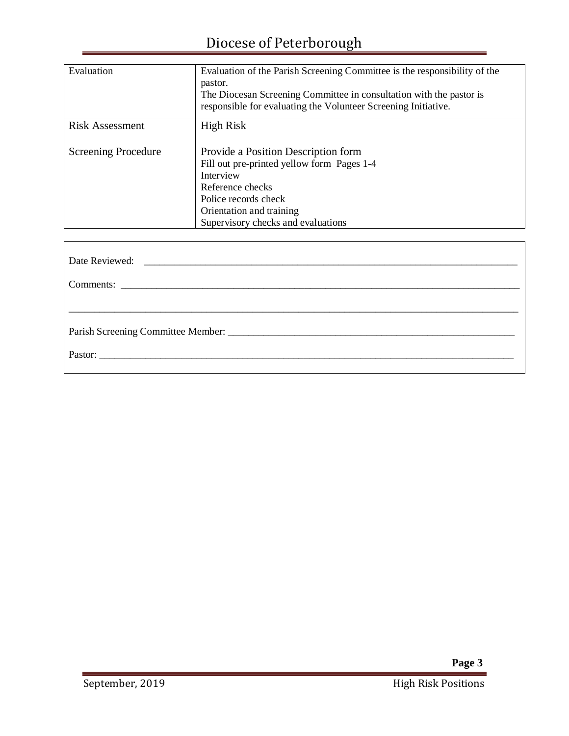| Evaluation                 | Evaluation of the Parish Screening Committee is the responsibility of the<br>pastor.<br>The Diocesan Screening Committee in consultation with the pastor is<br>responsible for evaluating the Volunteer Screening Initiative. |
|----------------------------|-------------------------------------------------------------------------------------------------------------------------------------------------------------------------------------------------------------------------------|
| Risk Assessment            | <b>High Risk</b>                                                                                                                                                                                                              |
| <b>Screening Procedure</b> | Provide a Position Description form<br>Fill out pre-printed yellow form Pages 1-4<br>Interview<br>Reference checks<br>Police records check<br>Orientation and training<br>Supervisory checks and evaluations                  |

| Pastor: |  |  |
|---------|--|--|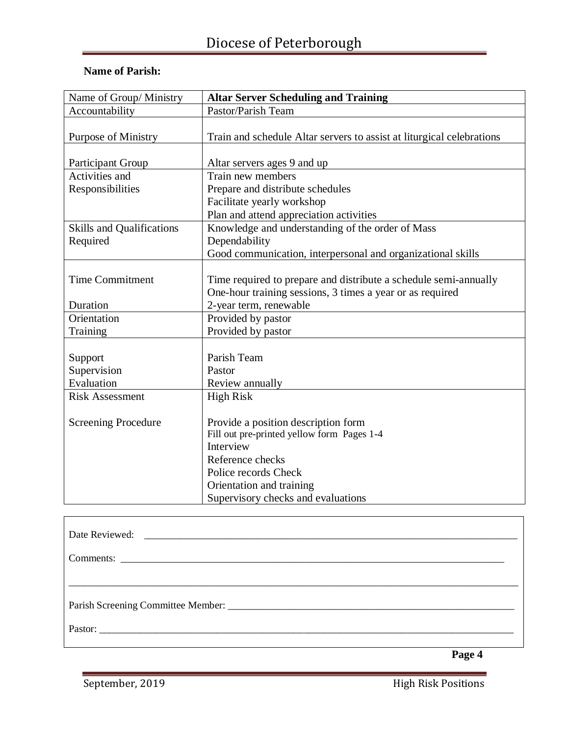| Name of Group/ Ministry          | <b>Altar Server Scheduling and Training</b>                           |
|----------------------------------|-----------------------------------------------------------------------|
| Accountability                   | Pastor/Parish Team                                                    |
|                                  |                                                                       |
| <b>Purpose of Ministry</b>       | Train and schedule Altar servers to assist at liturgical celebrations |
|                                  |                                                                       |
| <b>Participant Group</b>         | Altar servers ages 9 and up                                           |
| Activities and                   | Train new members                                                     |
| Responsibilities                 | Prepare and distribute schedules                                      |
|                                  | Facilitate yearly workshop                                            |
|                                  | Plan and attend appreciation activities                               |
| <b>Skills and Qualifications</b> | Knowledge and understanding of the order of Mass                      |
| Required                         | Dependability                                                         |
|                                  | Good communication, interpersonal and organizational skills           |
|                                  |                                                                       |
| <b>Time Commitment</b>           | Time required to prepare and distribute a schedule semi-annually      |
|                                  | One-hour training sessions, 3 times a year or as required             |
| Duration                         | 2-year term, renewable                                                |
| Orientation                      | Provided by pastor                                                    |
| Training                         | Provided by pastor                                                    |
|                                  |                                                                       |
| Support                          | Parish Team                                                           |
| Supervision                      | Pastor                                                                |
| Evaluation                       | Review annually                                                       |
| <b>Risk Assessment</b>           | <b>High Risk</b>                                                      |
|                                  |                                                                       |
| <b>Screening Procedure</b>       | Provide a position description form                                   |
|                                  | Fill out pre-printed yellow form Pages 1-4                            |
|                                  | Interview                                                             |
|                                  | Reference checks                                                      |
|                                  | Police records Check                                                  |
|                                  | Orientation and training                                              |
|                                  | Supervisory checks and evaluations                                    |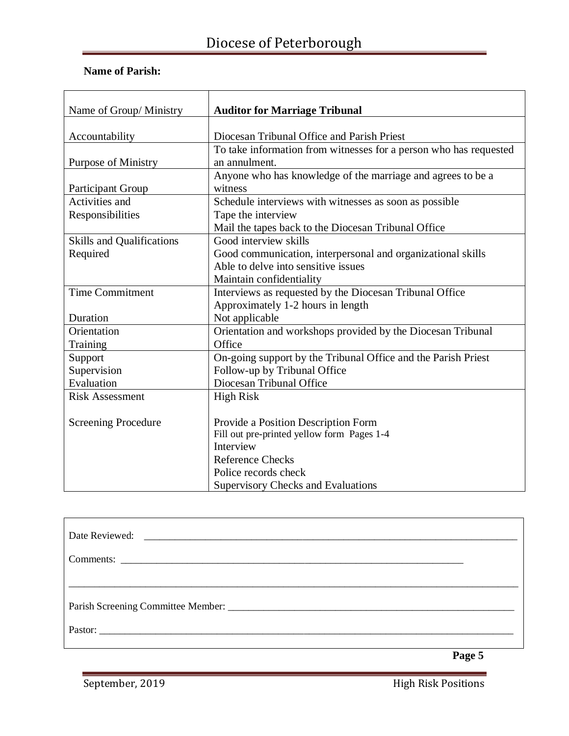| Name of Group/Ministry           | <b>Auditor for Marriage Tribunal</b>                              |
|----------------------------------|-------------------------------------------------------------------|
|                                  |                                                                   |
| Accountability                   | Diocesan Tribunal Office and Parish Priest                        |
|                                  | To take information from witnesses for a person who has requested |
| <b>Purpose of Ministry</b>       | an annulment.                                                     |
|                                  | Anyone who has knowledge of the marriage and agrees to be a       |
| <b>Participant Group</b>         | witness                                                           |
| Activities and                   | Schedule interviews with witnesses as soon as possible            |
| Responsibilities                 | Tape the interview                                                |
|                                  | Mail the tapes back to the Diocesan Tribunal Office               |
| <b>Skills and Qualifications</b> | Good interview skills                                             |
| Required                         | Good communication, interpersonal and organizational skills       |
|                                  | Able to delve into sensitive issues                               |
|                                  | Maintain confidentiality                                          |
| <b>Time Commitment</b>           | Interviews as requested by the Diocesan Tribunal Office           |
|                                  | Approximately 1-2 hours in length                                 |
| Duration                         | Not applicable                                                    |
| Orientation                      | Orientation and workshops provided by the Diocesan Tribunal       |
| Training                         | Office                                                            |
| Support                          | On-going support by the Tribunal Office and the Parish Priest     |
| Supervision                      | Follow-up by Tribunal Office                                      |
| Evaluation                       | Diocesan Tribunal Office                                          |
| <b>Risk Assessment</b>           | <b>High Risk</b>                                                  |
|                                  |                                                                   |
| <b>Screening Procedure</b>       | Provide a Position Description Form                               |
|                                  | Fill out pre-printed yellow form Pages 1-4                        |
|                                  | Interview                                                         |
|                                  | <b>Reference Checks</b>                                           |
|                                  | Police records check                                              |
|                                  | <b>Supervisory Checks and Evaluations</b>                         |

| Pastor: |  |
|---------|--|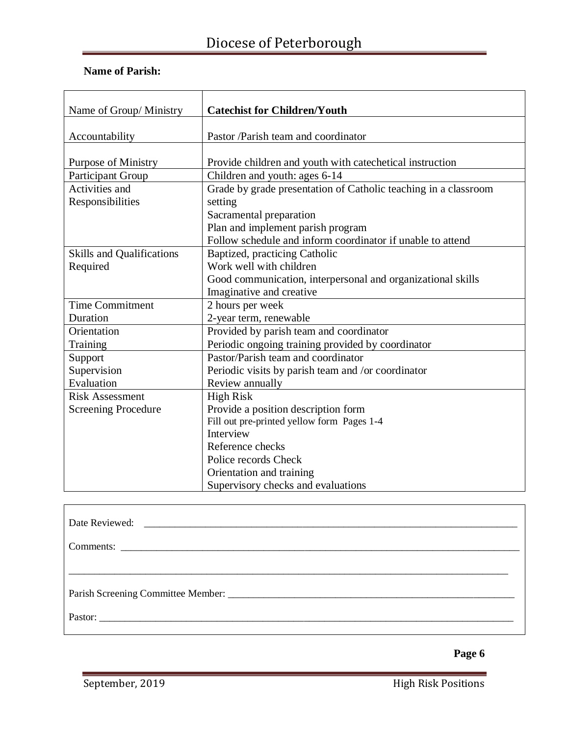### **Name of Parish:**

| Name of Group/ Ministry          | <b>Catechist for Children/Youth</b>                             |
|----------------------------------|-----------------------------------------------------------------|
|                                  |                                                                 |
| Accountability                   | Pastor /Parish team and coordinator                             |
|                                  |                                                                 |
| <b>Purpose of Ministry</b>       | Provide children and youth with cate chetical instruction       |
| <b>Participant Group</b>         | Children and youth: ages 6-14                                   |
| Activities and                   | Grade by grade presentation of Catholic teaching in a classroom |
| Responsibilities                 | setting                                                         |
|                                  | Sacramental preparation                                         |
|                                  | Plan and implement parish program                               |
|                                  | Follow schedule and inform coordinator if unable to attend      |
| <b>Skills and Qualifications</b> | Baptized, practicing Catholic                                   |
| Required                         | Work well with children                                         |
|                                  | Good communication, interpersonal and organizational skills     |
|                                  | Imaginative and creative                                        |
| <b>Time Commitment</b>           | 2 hours per week                                                |
| Duration                         | 2-year term, renewable                                          |
| Orientation                      | Provided by parish team and coordinator                         |
| Training                         | Periodic ongoing training provided by coordinator               |
| Support                          | Pastor/Parish team and coordinator                              |
| Supervision                      | Periodic visits by parish team and /or coordinator              |
| Evaluation                       | Review annually                                                 |
| <b>Risk Assessment</b>           | <b>High Risk</b>                                                |
| <b>Screening Procedure</b>       | Provide a position description form                             |
|                                  | Fill out pre-printed yellow form Pages 1-4                      |
|                                  | Interview                                                       |
|                                  | Reference checks                                                |
|                                  | Police records Check                                            |
|                                  | Orientation and training                                        |
|                                  | Supervisory checks and evaluations                              |

| Date Reviewed: |  |  |
|----------------|--|--|
|                |  |  |
|                |  |  |
|                |  |  |
|                |  |  |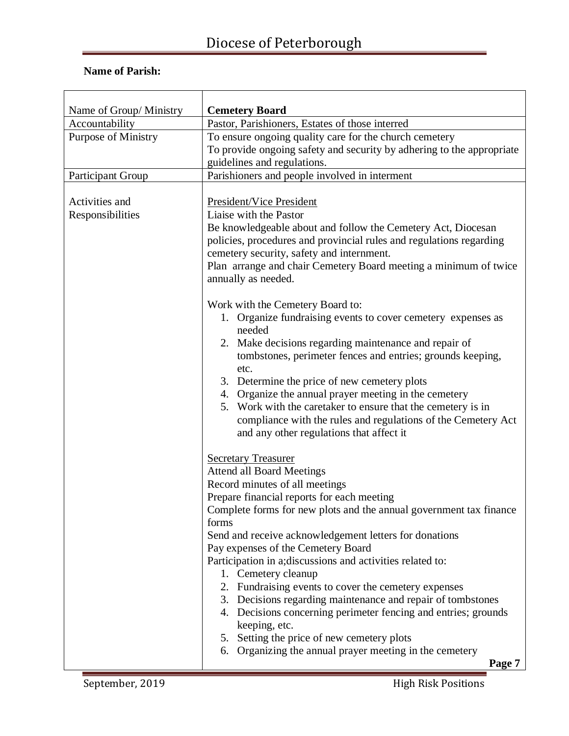| Name of Group/ Ministry            | <b>Cemetery Board</b>                                                                                                                                                                                                                                                                                                                                                                                                                                                                                                                                                                                                                                                                                                                    |
|------------------------------------|------------------------------------------------------------------------------------------------------------------------------------------------------------------------------------------------------------------------------------------------------------------------------------------------------------------------------------------------------------------------------------------------------------------------------------------------------------------------------------------------------------------------------------------------------------------------------------------------------------------------------------------------------------------------------------------------------------------------------------------|
| Accountability                     | Pastor, Parishioners, Estates of those interred                                                                                                                                                                                                                                                                                                                                                                                                                                                                                                                                                                                                                                                                                          |
| <b>Purpose of Ministry</b>         | To ensure ongoing quality care for the church cemetery<br>To provide ongoing safety and security by adhering to the appropriate<br>guidelines and regulations.                                                                                                                                                                                                                                                                                                                                                                                                                                                                                                                                                                           |
| Participant Group                  | Parishioners and people involved in interment                                                                                                                                                                                                                                                                                                                                                                                                                                                                                                                                                                                                                                                                                            |
| Activities and<br>Responsibilities | President/Vice President<br>Liaise with the Pastor<br>Be knowledgeable about and follow the Cemetery Act, Diocesan<br>policies, procedures and provincial rules and regulations regarding<br>cemetery security, safety and internment.<br>Plan arrange and chair Cemetery Board meeting a minimum of twice<br>annually as needed.                                                                                                                                                                                                                                                                                                                                                                                                        |
|                                    | Work with the Cemetery Board to:<br>1. Organize fundraising events to cover cemetery expenses as<br>needed<br>2. Make decisions regarding maintenance and repair of<br>tombstones, perimeter fences and entries; grounds keeping,<br>etc.<br>3. Determine the price of new cemetery plots<br>4. Organize the annual prayer meeting in the cemetery<br>5. Work with the caretaker to ensure that the cemetery is in<br>compliance with the rules and regulations of the Cemetery Act<br>and any other regulations that affect it                                                                                                                                                                                                          |
|                                    | <b>Secretary Treasurer</b><br><b>Attend all Board Meetings</b><br>Record minutes of all meetings<br>Prepare financial reports for each meeting<br>Complete forms for new plots and the annual government tax finance<br>forms<br>Send and receive acknowledgement letters for donations<br>Pay expenses of the Cemetery Board<br>Participation in a; discussions and activities related to:<br>1. Cemetery cleanup<br>2. Fundraising events to cover the cemetery expenses<br>3. Decisions regarding maintenance and repair of tombstones<br>4. Decisions concerning perimeter fencing and entries; grounds<br>keeping, etc.<br>5. Setting the price of new cemetery plots<br>Organizing the annual prayer meeting in the cemetery<br>6. |
|                                    | Page 7                                                                                                                                                                                                                                                                                                                                                                                                                                                                                                                                                                                                                                                                                                                                   |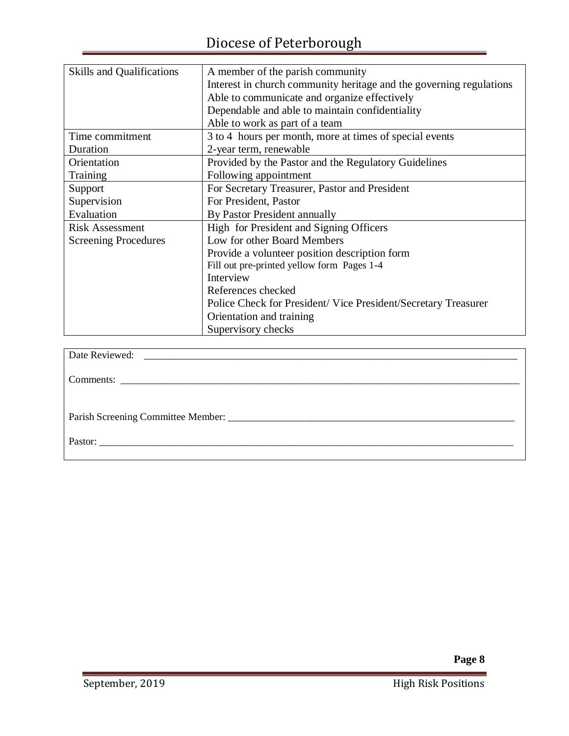| <b>Skills and Qualifications</b> | A member of the parish community                                    |
|----------------------------------|---------------------------------------------------------------------|
|                                  | Interest in church community heritage and the governing regulations |
|                                  | Able to communicate and organize effectively                        |
|                                  | Dependable and able to maintain confidentiality                     |
|                                  | Able to work as part of a team                                      |
| Time commitment                  | 3 to 4 hours per month, more at times of special events             |
| Duration                         | 2-year term, renewable                                              |
| Orientation                      | Provided by the Pastor and the Regulatory Guidelines                |
| Training                         | Following appointment                                               |
| Support                          | For Secretary Treasurer, Pastor and President                       |
| Supervision                      | For President, Pastor                                               |
| Evaluation                       | By Pastor President annually                                        |
| <b>Risk Assessment</b>           | High for President and Signing Officers                             |
| <b>Screening Procedures</b>      | Low for other Board Members                                         |
|                                  | Provide a volunteer position description form                       |
|                                  | Fill out pre-printed yellow form Pages 1-4                          |
|                                  | Interview                                                           |
|                                  | References checked                                                  |
|                                  | Police Check for President/Vice President/Secretary Treasurer       |
|                                  | Orientation and training                                            |
|                                  | Supervisory checks                                                  |
|                                  |                                                                     |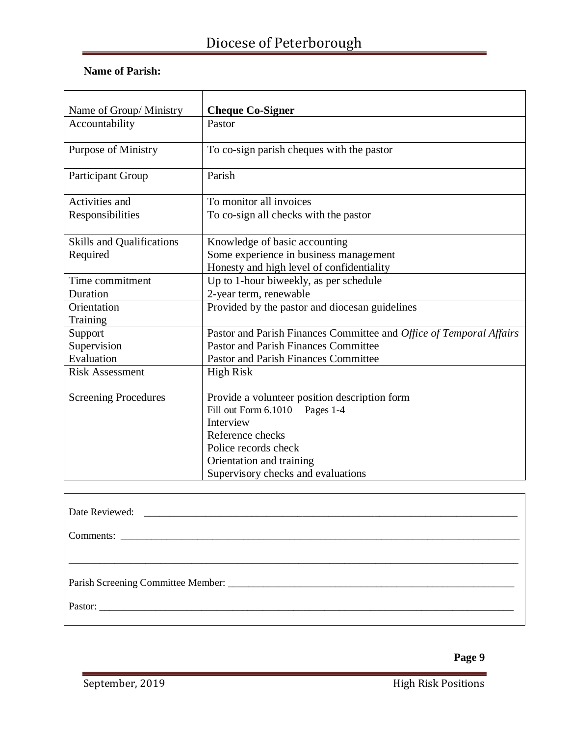| Name of Group/ Ministry          | <b>Cheque Co-Signer</b>                                             |
|----------------------------------|---------------------------------------------------------------------|
| Accountability                   | Pastor                                                              |
| <b>Purpose of Ministry</b>       | To co-sign parish cheques with the pastor                           |
| <b>Participant Group</b>         | Parish                                                              |
| Activities and                   | To monitor all invoices                                             |
| Responsibilities                 | To co-sign all checks with the pastor                               |
| <b>Skills and Qualifications</b> | Knowledge of basic accounting                                       |
| Required                         | Some experience in business management                              |
|                                  | Honesty and high level of confidentiality                           |
| Time commitment                  | Up to 1-hour biweekly, as per schedule                              |
| Duration                         | 2-year term, renewable                                              |
| Orientation                      | Provided by the pastor and diocesan guidelines                      |
| Training                         |                                                                     |
| Support                          | Pastor and Parish Finances Committee and Office of Temporal Affairs |
| Supervision                      | <b>Pastor and Parish Finances Committee</b>                         |
| Evaluation                       | <b>Pastor and Parish Finances Committee</b>                         |
| <b>Risk Assessment</b>           | <b>High Risk</b>                                                    |
|                                  |                                                                     |
| <b>Screening Procedures</b>      | Provide a volunteer position description form                       |
|                                  | Fill out Form 6.1010 Pages 1-4                                      |
|                                  | Interview                                                           |
|                                  | Reference checks                                                    |
|                                  | Police records check                                                |
|                                  | Orientation and training                                            |
|                                  | Supervisory checks and evaluations                                  |

| Pastor: |  |  |
|---------|--|--|
|         |  |  |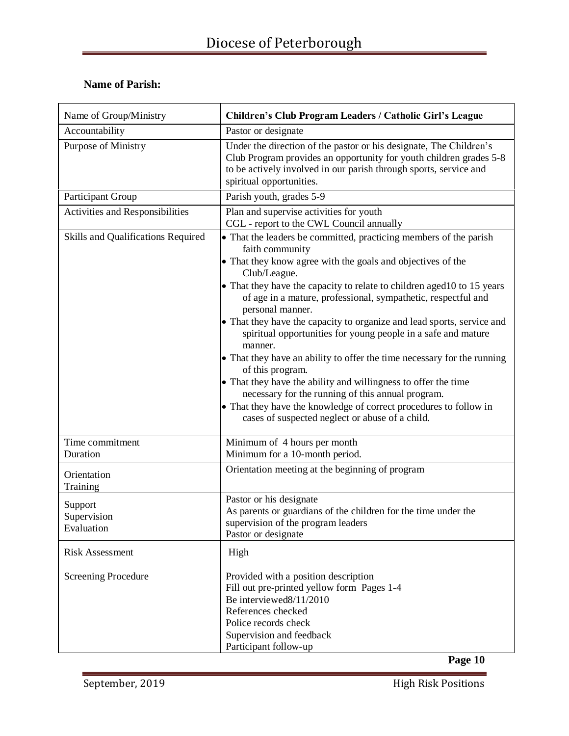| Name of Group/Ministry               | Children's Club Program Leaders / Catholic Girl's League                                                                                                                                                                                                                                                                                                                                                                                                                                                                                                                                                                                                                                                                                                                                                                               |
|--------------------------------------|----------------------------------------------------------------------------------------------------------------------------------------------------------------------------------------------------------------------------------------------------------------------------------------------------------------------------------------------------------------------------------------------------------------------------------------------------------------------------------------------------------------------------------------------------------------------------------------------------------------------------------------------------------------------------------------------------------------------------------------------------------------------------------------------------------------------------------------|
| Accountability                       | Pastor or designate                                                                                                                                                                                                                                                                                                                                                                                                                                                                                                                                                                                                                                                                                                                                                                                                                    |
| Purpose of Ministry                  | Under the direction of the pastor or his designate, The Children's<br>Club Program provides an opportunity for youth children grades 5-8<br>to be actively involved in our parish through sports, service and<br>spiritual opportunities.                                                                                                                                                                                                                                                                                                                                                                                                                                                                                                                                                                                              |
| Participant Group                    | Parish youth, grades 5-9                                                                                                                                                                                                                                                                                                                                                                                                                                                                                                                                                                                                                                                                                                                                                                                                               |
| Activities and Responsibilities      | Plan and supervise activities for youth<br>CGL - report to the CWL Council annually                                                                                                                                                                                                                                                                                                                                                                                                                                                                                                                                                                                                                                                                                                                                                    |
| Skills and Qualifications Required   | • That the leaders be committed, practicing members of the parish<br>faith community<br>• That they know agree with the goals and objectives of the<br>Club/League.<br>• That they have the capacity to relate to children aged10 to 15 years<br>of age in a mature, professional, sympathetic, respectful and<br>personal manner.<br>• That they have the capacity to organize and lead sports, service and<br>spiritual opportunities for young people in a safe and mature<br>manner.<br>• That they have an ability to offer the time necessary for the running<br>of this program.<br>• That they have the ability and willingness to offer the time<br>necessary for the running of this annual program.<br>• That they have the knowledge of correct procedures to follow in<br>cases of suspected neglect or abuse of a child. |
| Time commitment<br>Duration          | Minimum of 4 hours per month<br>Minimum for a 10-month period.                                                                                                                                                                                                                                                                                                                                                                                                                                                                                                                                                                                                                                                                                                                                                                         |
| Orientation<br>Training              | Orientation meeting at the beginning of program                                                                                                                                                                                                                                                                                                                                                                                                                                                                                                                                                                                                                                                                                                                                                                                        |
| Support<br>Supervision<br>Evaluation | Pastor or his designate<br>As parents or guardians of the children for the time under the<br>supervision of the program leaders<br>Pastor or designate                                                                                                                                                                                                                                                                                                                                                                                                                                                                                                                                                                                                                                                                                 |
| <b>Risk Assessment</b>               | High                                                                                                                                                                                                                                                                                                                                                                                                                                                                                                                                                                                                                                                                                                                                                                                                                                   |
| <b>Screening Procedure</b>           | Provided with a position description<br>Fill out pre-printed yellow form Pages 1-4<br>Be interviewed8/11/2010<br>References checked<br>Police records check<br>Supervision and feedback<br>Participant follow-up                                                                                                                                                                                                                                                                                                                                                                                                                                                                                                                                                                                                                       |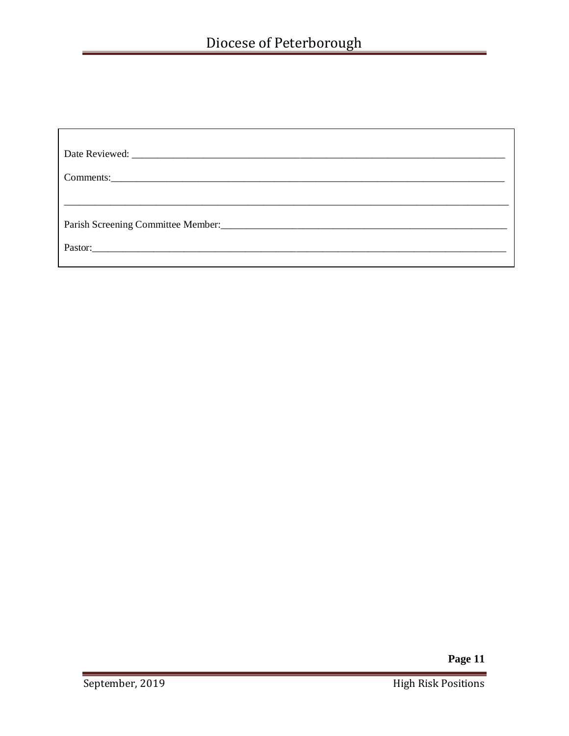| Pastor: |  |
|---------|--|
|         |  |

Page 11

 $\overline{\phantom{a}}$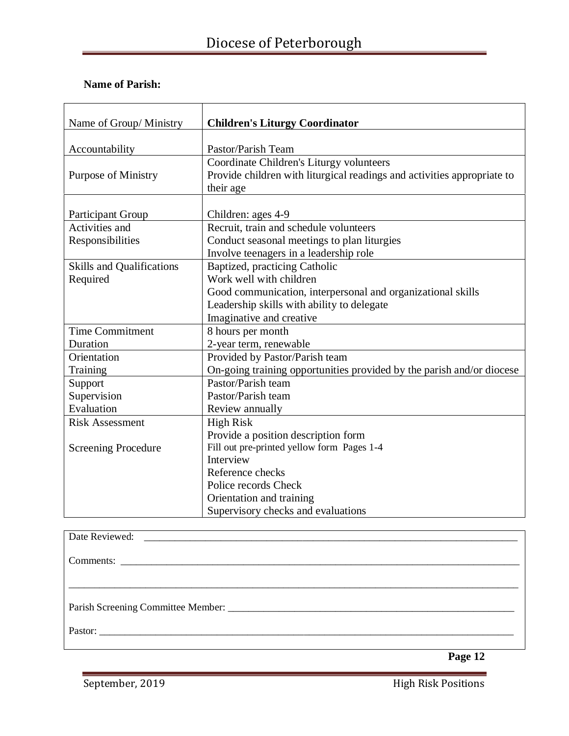| Name of Group/ Ministry          | <b>Children's Liturgy Coordinator</b>                                   |
|----------------------------------|-------------------------------------------------------------------------|
|                                  |                                                                         |
| Accountability                   | Pastor/Parish Team                                                      |
|                                  | Coordinate Children's Liturgy volunteers                                |
| <b>Purpose of Ministry</b>       | Provide children with liturgical readings and activities appropriate to |
|                                  | their age                                                               |
|                                  |                                                                         |
| <b>Participant Group</b>         | Children: ages 4-9                                                      |
| Activities and                   | Recruit, train and schedule volunteers                                  |
| Responsibilities                 | Conduct seasonal meetings to plan liturgies                             |
|                                  | Involve teenagers in a leadership role                                  |
| <b>Skills and Qualifications</b> | Baptized, practicing Catholic                                           |
| Required                         | Work well with children                                                 |
|                                  | Good communication, interpersonal and organizational skills             |
|                                  | Leadership skills with ability to delegate                              |
|                                  | Imaginative and creative                                                |
| <b>Time Commitment</b>           | 8 hours per month                                                       |
| Duration                         | 2-year term, renewable                                                  |
| Orientation                      | Provided by Pastor/Parish team                                          |
| Training                         | On-going training opportunities provided by the parish and/or diocese   |
| Support                          | Pastor/Parish team                                                      |
| Supervision                      | Pastor/Parish team                                                      |
| Evaluation                       | Review annually                                                         |
| <b>Risk Assessment</b>           | <b>High Risk</b>                                                        |
|                                  | Provide a position description form                                     |
| <b>Screening Procedure</b>       | Fill out pre-printed yellow form Pages 1-4                              |
|                                  | Interview                                                               |
|                                  | Reference checks                                                        |
|                                  | Police records Check                                                    |
|                                  | Orientation and training                                                |
|                                  | Supervisory checks and evaluations                                      |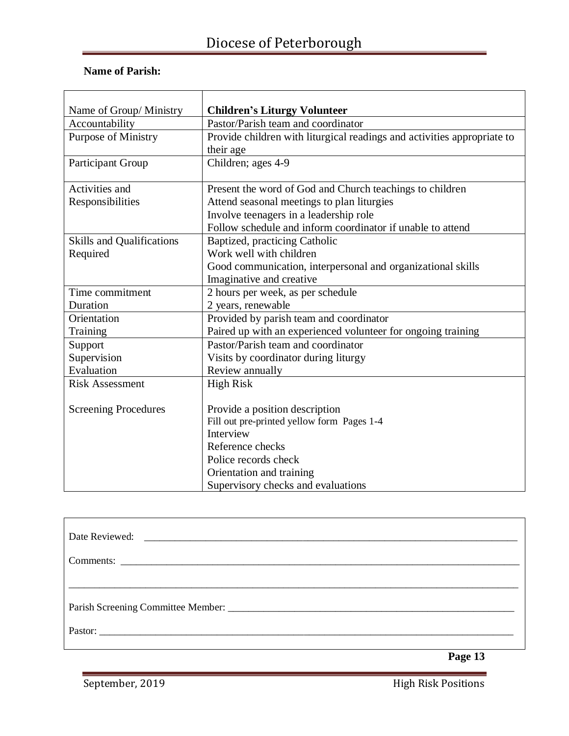| Name of Group/ Ministry          | <b>Children's Liturgy Volunteer</b>                                     |
|----------------------------------|-------------------------------------------------------------------------|
| Accountability                   | Pastor/Parish team and coordinator                                      |
| <b>Purpose of Ministry</b>       | Provide children with liturgical readings and activities appropriate to |
|                                  | their age                                                               |
| Participant Group                | Children; ages 4-9                                                      |
|                                  |                                                                         |
| Activities and                   | Present the word of God and Church teachings to children                |
| Responsibilities                 | Attend seasonal meetings to plan liturgies                              |
|                                  | Involve teenagers in a leadership role                                  |
|                                  | Follow schedule and inform coordinator if unable to attend              |
| <b>Skills and Qualifications</b> | Baptized, practicing Catholic                                           |
| Required                         | Work well with children                                                 |
|                                  | Good communication, interpersonal and organizational skills             |
|                                  | Imaginative and creative                                                |
| Time commitment                  | 2 hours per week, as per schedule                                       |
| Duration                         | 2 years, renewable                                                      |
| Orientation                      | Provided by parish team and coordinator                                 |
| Training                         | Paired up with an experienced volunteer for ongoing training            |
| Support                          | Pastor/Parish team and coordinator                                      |
| Supervision                      | Visits by coordinator during liturgy                                    |
| Evaluation                       | Review annually                                                         |
| <b>Risk Assessment</b>           | <b>High Risk</b>                                                        |
|                                  |                                                                         |
| <b>Screening Procedures</b>      | Provide a position description                                          |
|                                  | Fill out pre-printed yellow form Pages 1-4                              |
|                                  | Interview                                                               |
|                                  | Reference checks                                                        |
|                                  | Police records check                                                    |
|                                  | Orientation and training                                                |
|                                  | Supervisory checks and evaluations                                      |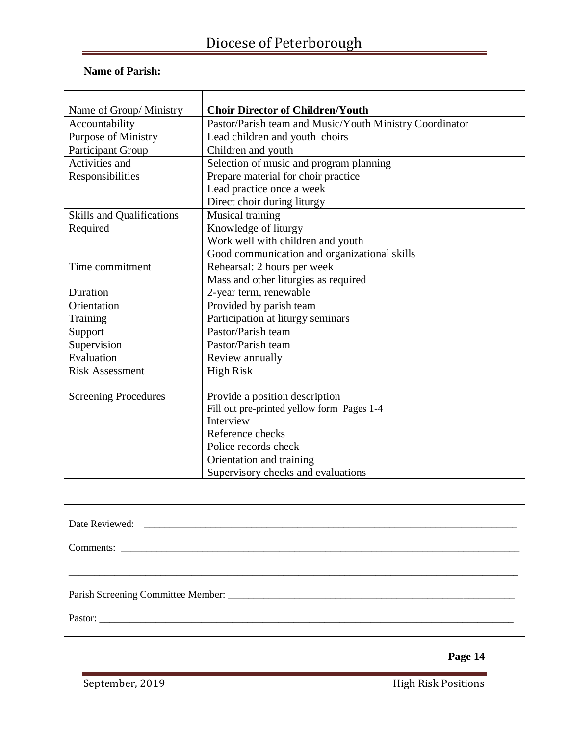### **Name of Parish:**

| Name of Group/ Ministry          | <b>Choir Director of Children/Youth</b>                 |
|----------------------------------|---------------------------------------------------------|
| Accountability                   | Pastor/Parish team and Music/Youth Ministry Coordinator |
| <b>Purpose of Ministry</b>       | Lead children and youth choirs                          |
| <b>Participant Group</b>         | Children and youth                                      |
| Activities and                   | Selection of music and program planning                 |
| Responsibilities                 | Prepare material for choir practice                     |
|                                  | Lead practice once a week                               |
|                                  | Direct choir during liturgy                             |
| <b>Skills and Qualifications</b> | Musical training                                        |
| Required                         | Knowledge of liturgy                                    |
|                                  | Work well with children and youth                       |
|                                  | Good communication and organizational skills            |
| Time commitment                  | Rehearsal: 2 hours per week                             |
|                                  | Mass and other liturgies as required                    |
| Duration                         | 2-year term, renewable                                  |
| Orientation                      | Provided by parish team                                 |
| Training                         | Participation at liturgy seminars                       |
| Support                          | Pastor/Parish team                                      |
| Supervision                      | Pastor/Parish team                                      |
| Evaluation                       | Review annually                                         |
| <b>Risk Assessment</b>           | <b>High Risk</b>                                        |
|                                  |                                                         |
| <b>Screening Procedures</b>      | Provide a position description                          |
|                                  | Fill out pre-printed yellow form Pages 1-4              |
|                                  | Interview                                               |
|                                  | Reference checks                                        |
|                                  | Police records check                                    |
|                                  | Orientation and training                                |
|                                  | Supervisory checks and evaluations                      |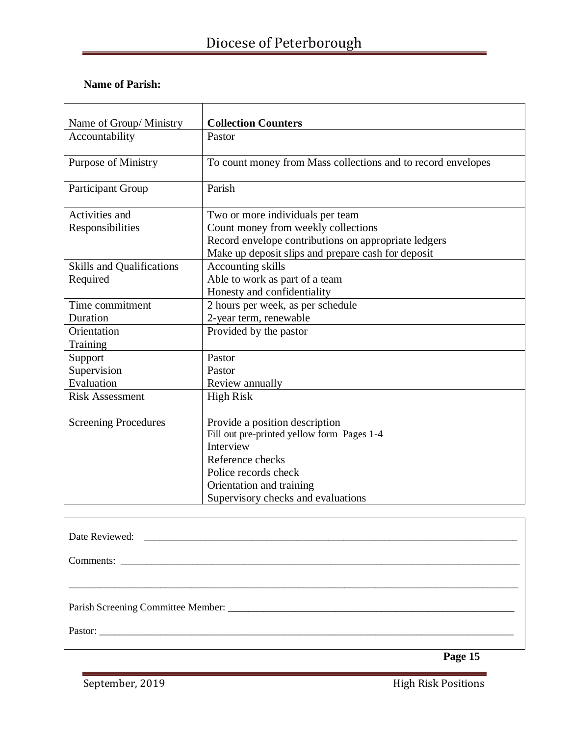| Name of Group/ Ministry          | <b>Collection Counters</b>                                   |
|----------------------------------|--------------------------------------------------------------|
| Accountability                   | Pastor                                                       |
| <b>Purpose of Ministry</b>       | To count money from Mass collections and to record envelopes |
| <b>Participant Group</b>         | Parish                                                       |
| Activities and                   | Two or more individuals per team                             |
| Responsibilities                 | Count money from weekly collections                          |
|                                  | Record envelope contributions on appropriate ledgers         |
|                                  | Make up deposit slips and prepare cash for deposit           |
| <b>Skills and Qualifications</b> | <b>Accounting skills</b>                                     |
| Required                         | Able to work as part of a team                               |
|                                  | Honesty and confidentiality                                  |
| Time commitment                  | 2 hours per week, as per schedule                            |
| Duration                         | 2-year term, renewable                                       |
| Orientation                      | Provided by the pastor                                       |
| Training                         |                                                              |
| Support                          | Pastor                                                       |
| Supervision                      | Pastor                                                       |
| Evaluation                       | Review annually                                              |
| <b>Risk Assessment</b>           | <b>High Risk</b>                                             |
|                                  |                                                              |
| <b>Screening Procedures</b>      | Provide a position description                               |
|                                  | Fill out pre-printed yellow form Pages 1-4                   |
|                                  | Interview                                                    |
|                                  | Reference checks                                             |
|                                  | Police records check                                         |
|                                  | Orientation and training                                     |
|                                  | Supervisory checks and evaluations                           |

| Date Reviewed: |
|----------------|
|                |
|                |
|                |
|                |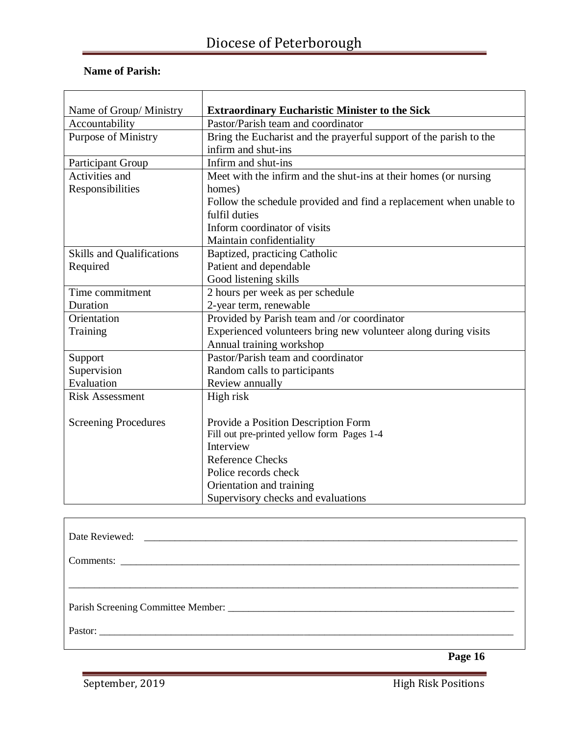| Name of Group/ Ministry          | <b>Extraordinary Eucharistic Minister to the Sick</b>              |
|----------------------------------|--------------------------------------------------------------------|
| Accountability                   | Pastor/Parish team and coordinator                                 |
| <b>Purpose of Ministry</b>       | Bring the Eucharist and the prayerful support of the parish to the |
|                                  | infirm and shut-ins                                                |
| Participant Group                | Infirm and shut-ins                                                |
| Activities and                   | Meet with the infirm and the shut-ins at their homes (or nursing   |
| Responsibilities                 | homes)                                                             |
|                                  | Follow the schedule provided and find a replacement when unable to |
|                                  | fulfil duties                                                      |
|                                  | Inform coordinator of visits                                       |
|                                  | Maintain confidentiality                                           |
| <b>Skills and Qualifications</b> | Baptized, practicing Catholic                                      |
| Required                         | Patient and dependable                                             |
|                                  | Good listening skills                                              |
| Time commitment                  | 2 hours per week as per schedule                                   |
| Duration                         | 2-year term, renewable                                             |
| Orientation                      | Provided by Parish team and /or coordinator                        |
| Training                         | Experienced volunteers bring new volunteer along during visits     |
|                                  | Annual training workshop                                           |
| Support                          | Pastor/Parish team and coordinator                                 |
| Supervision                      | Random calls to participants                                       |
| Evaluation                       | Review annually                                                    |
| <b>Risk Assessment</b>           | High risk                                                          |
|                                  |                                                                    |
| <b>Screening Procedures</b>      | Provide a Position Description Form                                |
|                                  | Fill out pre-printed yellow form Pages 1-4                         |
|                                  | Interview                                                          |
|                                  | <b>Reference Checks</b>                                            |
|                                  | Police records check                                               |
|                                  | Orientation and training                                           |
|                                  | Supervisory checks and evaluations                                 |

| Parish Screening Committee Member: |  |  |
|------------------------------------|--|--|
|                                    |  |  |

**Page 16**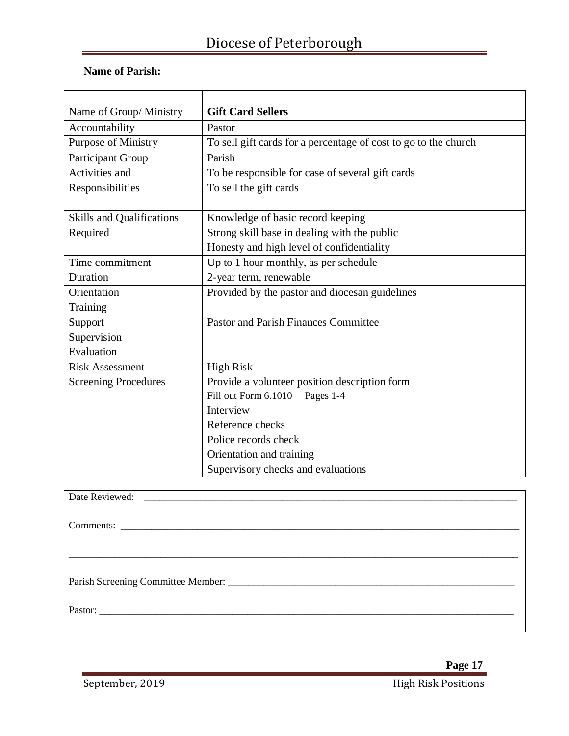| Name of Group/ Ministry          | <b>Gift Card Sellers</b>                                        |
|----------------------------------|-----------------------------------------------------------------|
| Accountability                   | Pastor                                                          |
| Purpose of Ministry              | To sell gift cards for a percentage of cost to go to the church |
| Participant Group                | Parish                                                          |
| Activities and                   | To be responsible for case of several gift cards                |
| Responsibilities                 | To sell the gift cards                                          |
|                                  |                                                                 |
| <b>Skills and Qualifications</b> | Knowledge of basic record keeping                               |
| Required                         | Strong skill base in dealing with the public                    |
|                                  | Honesty and high level of confidentiality                       |
| Time commitment                  | Up to 1 hour monthly, as per schedule                           |
| Duration                         | 2-year term, renewable                                          |
| Orientation                      | Provided by the pastor and diocesan guidelines                  |
| Training                         |                                                                 |
| Support                          | <b>Pastor and Parish Finances Committee</b>                     |
| Supervision                      |                                                                 |
| Evaluation                       |                                                                 |
| <b>Risk Assessment</b>           | <b>High Risk</b>                                                |
| <b>Screening Procedures</b>      | Provide a volunteer position description form                   |
|                                  | Fill out Form 6.1010 Pages 1-4                                  |
|                                  | Interview                                                       |
|                                  | Reference checks                                                |
|                                  | Police records check                                            |
|                                  | Orientation and training                                        |
|                                  | Supervisory checks and evaluations                              |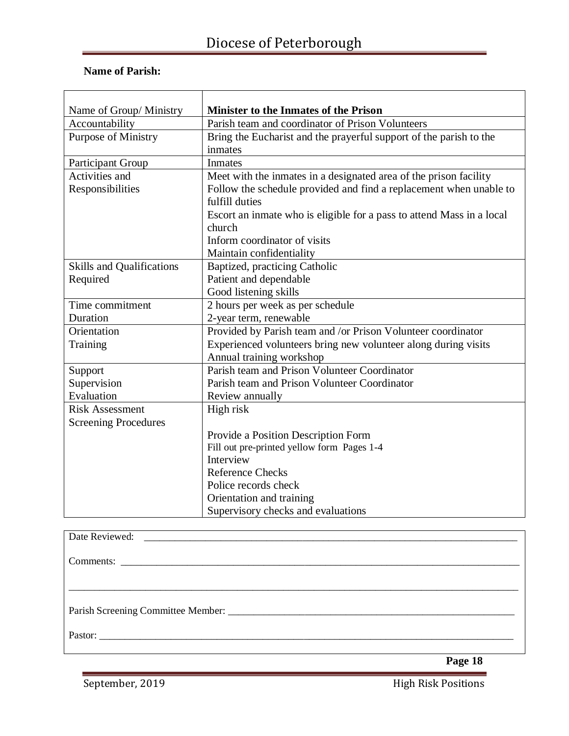#### **Name of Parish:**

| Name of Group/Ministry           | <b>Minister to the Inmates of the Prison</b>                          |
|----------------------------------|-----------------------------------------------------------------------|
| Accountability                   | Parish team and coordinator of Prison Volunteers                      |
| <b>Purpose of Ministry</b>       | Bring the Eucharist and the prayerful support of the parish to the    |
|                                  | inmates                                                               |
| Participant Group                | Inmates                                                               |
| Activities and                   | Meet with the inmates in a designated area of the prison facility     |
| Responsibilities                 | Follow the schedule provided and find a replacement when unable to    |
|                                  | fulfill duties                                                        |
|                                  | Escort an inmate who is eligible for a pass to attend Mass in a local |
|                                  | church                                                                |
|                                  | Inform coordinator of visits                                          |
|                                  | Maintain confidentiality                                              |
| <b>Skills and Qualifications</b> | Baptized, practicing Catholic                                         |
| Required                         | Patient and dependable                                                |
|                                  | Good listening skills                                                 |
| Time commitment                  | 2 hours per week as per schedule                                      |
| Duration                         | 2-year term, renewable                                                |
| Orientation                      | Provided by Parish team and /or Prison Volunteer coordinator          |
| Training                         | Experienced volunteers bring new volunteer along during visits        |
|                                  | Annual training workshop                                              |
| Support                          | Parish team and Prison Volunteer Coordinator                          |
| Supervision                      | Parish team and Prison Volunteer Coordinator                          |
| Evaluation                       | Review annually                                                       |
| <b>Risk Assessment</b>           | High risk                                                             |
| <b>Screening Procedures</b>      |                                                                       |
|                                  | Provide a Position Description Form                                   |
|                                  | Fill out pre-printed yellow form Pages 1-4                            |
|                                  | Interview                                                             |
|                                  | <b>Reference Checks</b>                                               |
|                                  | Police records check                                                  |
|                                  | Orientation and training                                              |
|                                  | Supervisory checks and evaluations                                    |

| Parish Screening Committee Member: |
|------------------------------------|
|                                    |
|                                    |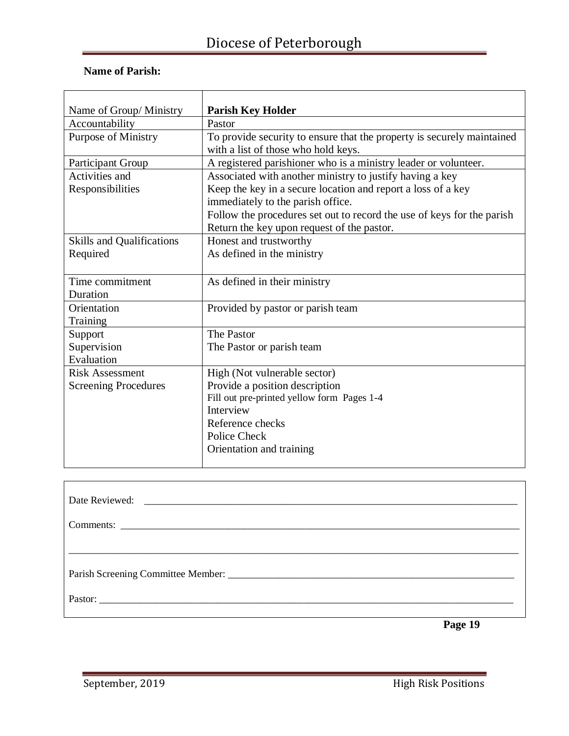### **Name of Parish:**

| Name of Group/ Ministry          | <b>Parish Key Holder</b>                                                                                             |
|----------------------------------|----------------------------------------------------------------------------------------------------------------------|
| Accountability                   | Pastor                                                                                                               |
| <b>Purpose of Ministry</b>       | To provide security to ensure that the property is securely maintained<br>with a list of those who hold keys.        |
| <b>Participant Group</b>         | A registered parishioner who is a ministry leader or volunteer.                                                      |
| Activities and                   | Associated with another ministry to justify having a key                                                             |
| Responsibilities                 | Keep the key in a secure location and report a loss of a key                                                         |
|                                  | immediately to the parish office.                                                                                    |
|                                  | Follow the procedures set out to record the use of keys for the parish<br>Return the key upon request of the pastor. |
| <b>Skills and Qualifications</b> | Honest and trustworthy                                                                                               |
| Required                         | As defined in the ministry                                                                                           |
|                                  |                                                                                                                      |
| Time commitment                  | As defined in their ministry                                                                                         |
| Duration                         |                                                                                                                      |
| Orientation                      | Provided by pastor or parish team                                                                                    |
| Training                         |                                                                                                                      |
| Support                          | The Pastor                                                                                                           |
| Supervision                      | The Pastor or parish team                                                                                            |
| Evaluation                       |                                                                                                                      |
| <b>Risk Assessment</b>           | High (Not vulnerable sector)                                                                                         |
| <b>Screening Procedures</b>      | Provide a position description                                                                                       |
|                                  | Fill out pre-printed yellow form Pages 1-4                                                                           |
|                                  | Interview                                                                                                            |
|                                  | Reference checks                                                                                                     |
|                                  | Police Check                                                                                                         |
|                                  | Orientation and training                                                                                             |
|                                  |                                                                                                                      |

| Date Reviewed: |                             |  |
|----------------|-----------------------------|--|
|                |                             |  |
|                |                             |  |
|                |                             |  |
| Pastor:        |                             |  |
|                | $\sim$ $\sim$ $\sim$ $\sim$ |  |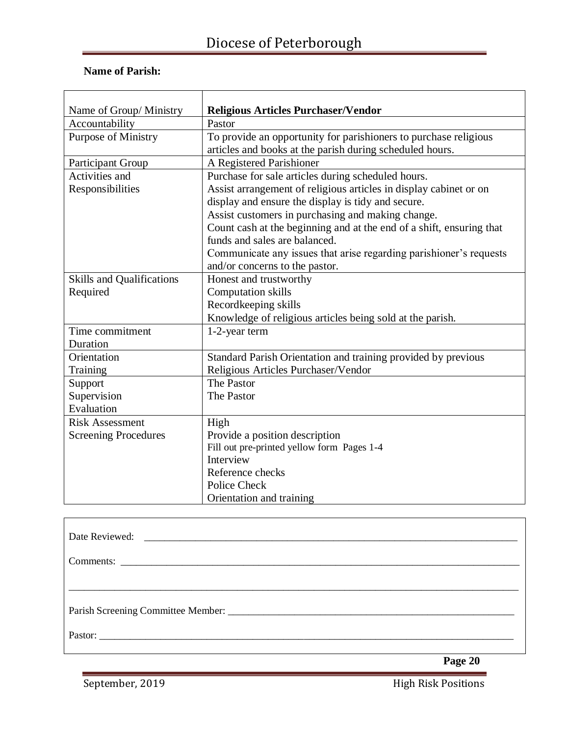| Name of Group/ Ministry          | <b>Religious Articles Purchaser/Vendor</b>                           |
|----------------------------------|----------------------------------------------------------------------|
| Accountability                   | Pastor                                                               |
| <b>Purpose of Ministry</b>       | To provide an opportunity for parishioners to purchase religious     |
|                                  | articles and books at the parish during scheduled hours.             |
| Participant Group                | A Registered Parishioner                                             |
| Activities and                   | Purchase for sale articles during scheduled hours.                   |
| Responsibilities                 | Assist arrangement of religious articles in display cabinet or on    |
|                                  | display and ensure the display is tidy and secure.                   |
|                                  | Assist customers in purchasing and making change.                    |
|                                  | Count cash at the beginning and at the end of a shift, ensuring that |
|                                  | funds and sales are balanced.                                        |
|                                  | Communicate any issues that arise regarding parishioner's requests   |
|                                  | and/or concerns to the pastor.                                       |
| <b>Skills and Qualifications</b> | Honest and trustworthy                                               |
| Required                         | <b>Computation skills</b>                                            |
|                                  | Recordkeeping skills                                                 |
|                                  | Knowledge of religious articles being sold at the parish.            |
| Time commitment                  | 1-2-year term                                                        |
| Duration                         |                                                                      |
| Orientation                      | Standard Parish Orientation and training provided by previous        |
| Training                         | Religious Articles Purchaser/Vendor                                  |
| Support                          | The Pastor                                                           |
| Supervision                      | The Pastor                                                           |
| Evaluation                       |                                                                      |
| <b>Risk Assessment</b>           | High                                                                 |
| <b>Screening Procedures</b>      | Provide a position description                                       |
|                                  | Fill out pre-printed yellow form Pages 1-4                           |
|                                  | Interview                                                            |
|                                  | Reference checks                                                     |
|                                  | Police Check                                                         |
|                                  | Orientation and training                                             |

 **Page 20**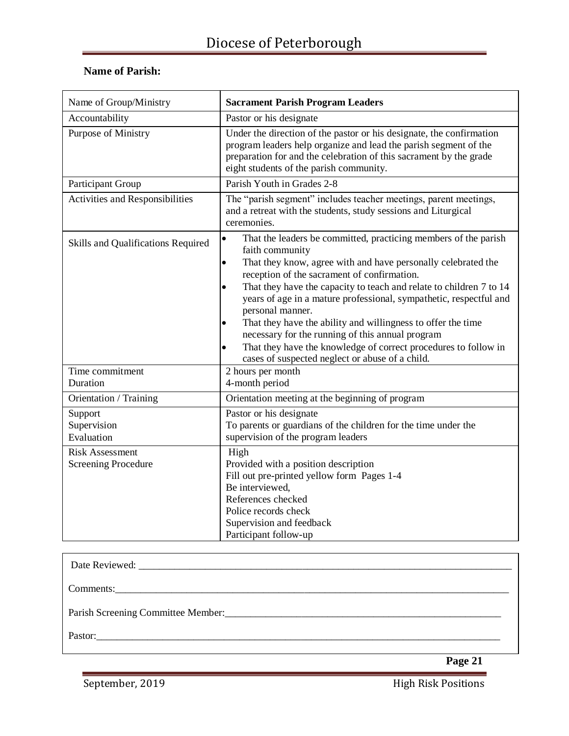| Name of Group/Ministry                               | <b>Sacrament Parish Program Leaders</b>                                                                                                                                                                                                                                                                                                                                                                                                                                                                                                                                                                                                                                        |
|------------------------------------------------------|--------------------------------------------------------------------------------------------------------------------------------------------------------------------------------------------------------------------------------------------------------------------------------------------------------------------------------------------------------------------------------------------------------------------------------------------------------------------------------------------------------------------------------------------------------------------------------------------------------------------------------------------------------------------------------|
| Accountability                                       | Pastor or his designate                                                                                                                                                                                                                                                                                                                                                                                                                                                                                                                                                                                                                                                        |
| Purpose of Ministry                                  | Under the direction of the pastor or his designate, the confirmation<br>program leaders help organize and lead the parish segment of the<br>preparation for and the celebration of this sacrament by the grade<br>eight students of the parish community.                                                                                                                                                                                                                                                                                                                                                                                                                      |
| Participant Group                                    | Parish Youth in Grades 2-8                                                                                                                                                                                                                                                                                                                                                                                                                                                                                                                                                                                                                                                     |
| Activities and Responsibilities                      | The "parish segment" includes teacher meetings, parent meetings,<br>and a retreat with the students, study sessions and Liturgical<br>ceremonies.                                                                                                                                                                                                                                                                                                                                                                                                                                                                                                                              |
| Skills and Qualifications Required                   | That the leaders be committed, practicing members of the parish<br>$\bullet$<br>faith community<br>That they know, agree with and have personally celebrated the<br>$\bullet$<br>reception of the sacrament of confirmation.<br>That they have the capacity to teach and relate to children 7 to 14<br>$\bullet$<br>years of age in a mature professional, sympathetic, respectful and<br>personal manner.<br>That they have the ability and willingness to offer the time<br>$\bullet$<br>necessary for the running of this annual program<br>That they have the knowledge of correct procedures to follow in<br>$\bullet$<br>cases of suspected neglect or abuse of a child. |
| Time commitment                                      | 2 hours per month                                                                                                                                                                                                                                                                                                                                                                                                                                                                                                                                                                                                                                                              |
| Duration                                             | 4-month period                                                                                                                                                                                                                                                                                                                                                                                                                                                                                                                                                                                                                                                                 |
| Orientation / Training                               | Orientation meeting at the beginning of program                                                                                                                                                                                                                                                                                                                                                                                                                                                                                                                                                                                                                                |
| Support<br>Supervision<br>Evaluation                 | Pastor or his designate<br>To parents or guardians of the children for the time under the<br>supervision of the program leaders                                                                                                                                                                                                                                                                                                                                                                                                                                                                                                                                                |
| <b>Risk Assessment</b><br><b>Screening Procedure</b> | High<br>Provided with a position description<br>Fill out pre-printed yellow form Pages 1-4<br>Be interviewed,<br>References checked<br>Police records check<br>Supervision and feedback<br>Participant follow-up                                                                                                                                                                                                                                                                                                                                                                                                                                                               |

| Parish Screening Committee Member: |         |
|------------------------------------|---------|
|                                    |         |
|                                    | Page 21 |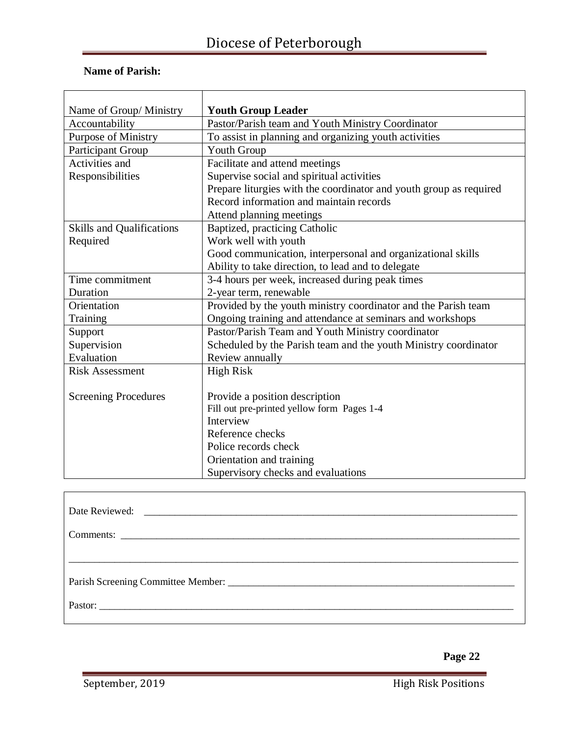| Name of Group/ Ministry          | <b>Youth Group Leader</b>                                          |
|----------------------------------|--------------------------------------------------------------------|
| Accountability                   | Pastor/Parish team and Youth Ministry Coordinator                  |
| Purpose of Ministry              | To assist in planning and organizing youth activities              |
| Participant Group                | <b>Youth Group</b>                                                 |
| Activities and                   | Facilitate and attend meetings                                     |
| Responsibilities                 | Supervise social and spiritual activities                          |
|                                  | Prepare liturgies with the coordinator and youth group as required |
|                                  | Record information and maintain records                            |
|                                  | Attend planning meetings                                           |
| <b>Skills and Qualifications</b> | Baptized, practicing Catholic                                      |
| Required                         | Work well with youth                                               |
|                                  | Good communication, interpersonal and organizational skills        |
|                                  | Ability to take direction, to lead and to delegate                 |
| Time commitment                  | 3-4 hours per week, increased during peak times                    |
| Duration                         | 2-year term, renewable                                             |
| Orientation                      | Provided by the youth ministry coordinator and the Parish team     |
| Training                         | Ongoing training and attendance at seminars and workshops          |
| Support                          | Pastor/Parish Team and Youth Ministry coordinator                  |
| Supervision                      | Scheduled by the Parish team and the youth Ministry coordinator    |
| Evaluation                       | Review annually                                                    |
| <b>Risk Assessment</b>           | <b>High Risk</b>                                                   |
|                                  |                                                                    |
| <b>Screening Procedures</b>      | Provide a position description                                     |
|                                  | Fill out pre-printed yellow form Pages 1-4                         |
|                                  | Interview                                                          |
|                                  | Reference checks                                                   |
|                                  | Police records check                                               |
|                                  | Orientation and training                                           |
|                                  | Supervisory checks and evaluations                                 |

| Date Reviewed: |
|----------------|
|                |
|                |
|                |
|                |
|                |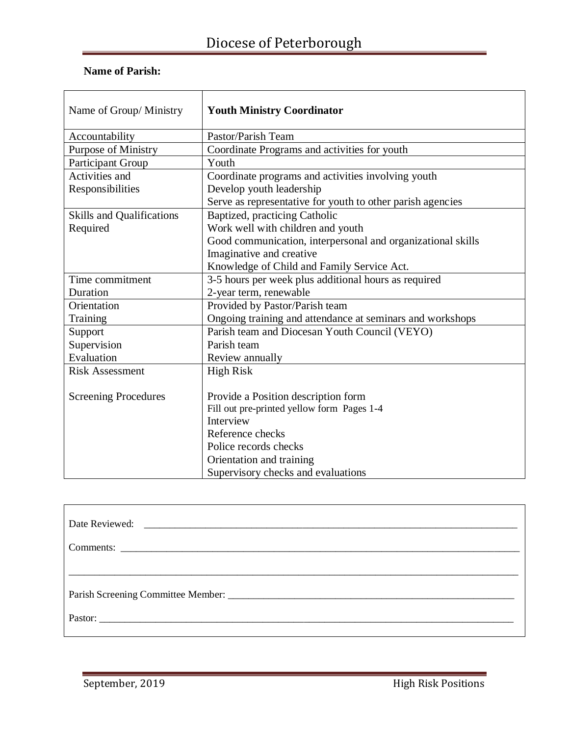| Name of Group/Ministry           | <b>Youth Ministry Coordinator</b>                           |
|----------------------------------|-------------------------------------------------------------|
| Accountability                   | Pastor/Parish Team                                          |
| <b>Purpose of Ministry</b>       | Coordinate Programs and activities for youth                |
| Participant Group                | Youth                                                       |
| Activities and                   | Coordinate programs and activities involving youth          |
| Responsibilities                 | Develop youth leadership                                    |
|                                  | Serve as representative for youth to other parish agencies  |
| <b>Skills and Qualifications</b> | Baptized, practicing Catholic                               |
| Required                         | Work well with children and youth                           |
|                                  | Good communication, interpersonal and organizational skills |
|                                  | Imaginative and creative                                    |
|                                  | Knowledge of Child and Family Service Act.                  |
| Time commitment                  | 3-5 hours per week plus additional hours as required        |
| Duration                         | 2-year term, renewable                                      |
| Orientation                      | Provided by Pastor/Parish team                              |
| Training                         | Ongoing training and attendance at seminars and workshops   |
| Support                          | Parish team and Diocesan Youth Council (VEYO)               |
| Supervision                      | Parish team                                                 |
| Evaluation                       | Review annually                                             |
| <b>Risk Assessment</b>           | <b>High Risk</b>                                            |
|                                  |                                                             |
| <b>Screening Procedures</b>      | Provide a Position description form                         |
|                                  | Fill out pre-printed yellow form Pages 1-4                  |
|                                  | Interview                                                   |
|                                  | Reference checks                                            |
|                                  | Police records checks                                       |
|                                  | Orientation and training                                    |
|                                  | Supervisory checks and evaluations                          |